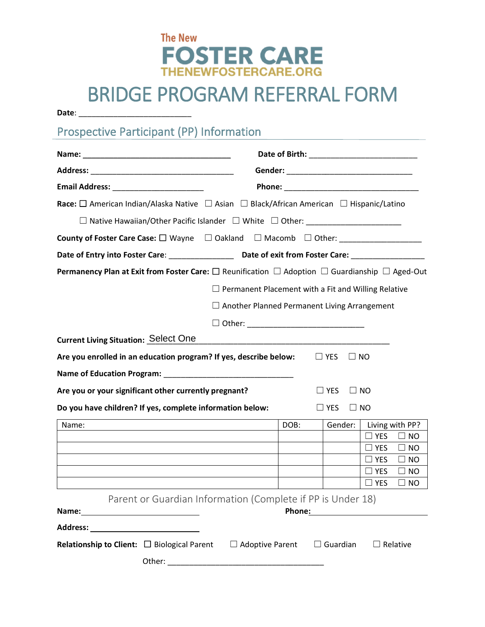

## BRIDGE PROGRAM REFERRAL FORM

Date:

## Prospective Participant (PP) Information

| Email Address: ___________________________                                                                                     |                                                     |      |            |                              |
|--------------------------------------------------------------------------------------------------------------------------------|-----------------------------------------------------|------|------------|------------------------------|
| Race: □ American Indian/Alaska Native □ Asian □ Black/African American □ Hispanic/Latino                                       |                                                     |      |            |                              |
|                                                                                                                                |                                                     |      |            |                              |
| County of Foster Care Case: □ Wayne □ Oakland □ Macomb □ Other: ________________                                               |                                                     |      |            |                              |
|                                                                                                                                |                                                     |      |            |                              |
| Permanency Plan at Exit from Foster Care: $\square$ Reunification $\square$ Adoption $\square$ Guardianship $\square$ Aged-Out |                                                     |      |            |                              |
| $\Box$ Permanent Placement with a Fit and Willing Relative                                                                     |                                                     |      |            |                              |
|                                                                                                                                | $\Box$ Another Planned Permanent Living Arrangement |      |            |                              |
|                                                                                                                                |                                                     |      |            |                              |
| <b>Current Living Situation: Select One</b>                                                                                    |                                                     |      |            |                              |
| the control of the control of the control of the control of the control of the control of                                      |                                                     |      |            |                              |
| Are you enrolled in an education program? If yes, describe below:<br>$\Box$ YES<br>$\square$ NO                                |                                                     |      |            |                              |
|                                                                                                                                |                                                     |      |            |                              |
| Are you or your significant other currently pregnant?                                                                          |                                                     |      | $\Box$ YES | $\Box$ NO                    |
| Do you have children? If yes, complete information below:                                                                      |                                                     |      | $\Box$ YES | $\Box$ NO                    |
| Name:                                                                                                                          |                                                     | DOB: | Gender:    | Living with PP?              |
|                                                                                                                                |                                                     |      |            | $\sqsupset$ YES<br><b>NO</b> |
|                                                                                                                                |                                                     |      |            | $\Box$ YES<br>$\Box$ NO      |
|                                                                                                                                |                                                     |      |            | $\square$ YES<br>$\Box$ No   |
|                                                                                                                                |                                                     |      |            | $\Box$ YES<br>$\Box$ No      |
|                                                                                                                                |                                                     |      |            | $\Box$ YES<br>$\sqcup$ No    |
| Parent or Guardian Information (Complete if PP is Under 18)                                                                    |                                                     |      |            |                              |
|                                                                                                                                |                                                     |      |            |                              |
|                                                                                                                                |                                                     |      |            |                              |
| <b>Relationship to Client:</b> □ Biological Parent<br>$\Box$ Adoptive Parent<br>$\Box$ Guardian<br>$\Box$ Relative             |                                                     |      |            |                              |
|                                                                                                                                |                                                     |      |            |                              |